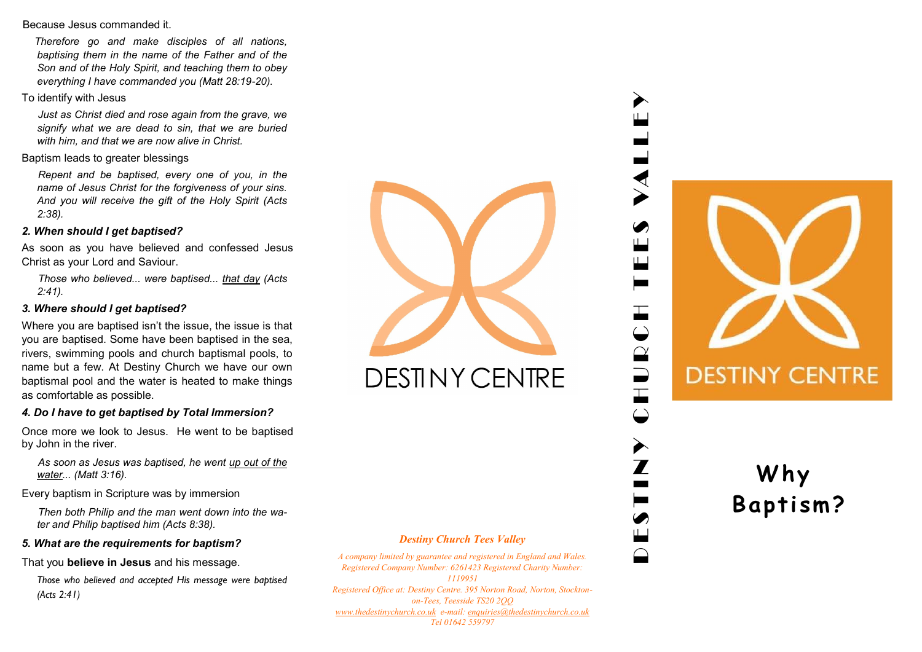#### Because Jesus commanded it.

*Therefore go and make disciples of all nations, baptising them in the name of the Father and of the Son and of the Holy Spirit, and teaching them to obey everything I have commanded you (Matt 28:19-20).*

# To identify with Jesus

*Just as Christ died and rose again from the grave, we signify what we are dead to sin, that we are buried with him, and that we are now alive in Christ.*

### Baptism leads to greater blessings

*Repent and be baptised, every one of you, in the name of Jesus Christ for the forgiveness of your sins. And you will receive the gift of the Holy Spirit (Acts 2:38).*

### *2. When should I get baptised?*

As soon as you have believed and confessed Jesus Christ as your Lord and Saviour.

*Those who believed... were baptised... that day (Acts 2:41).*

# *3. Where should I get baptised?*

Where you are baptised isn't the issue, the issue is that you are baptised. Some have been baptised in the sea, rivers, swimming pools and church baptismal pools, to name but a few. At Destiny Church we have our own baptismal pool and the water is heated to make things as comfortable as possible.

# *4. Do I have to get baptised by Total Immersion?*

Once more we look to Jesus. He went to be baptised by John in the river.

*As soon as Jesus was baptised, he went up out of the water... (Matt 3:16).*

Every baptism in Scripture was by immersion

*Then both Philip and the man went down into the water and Philip baptised him (Acts 8:38).*

### *5. What are the requirements for baptism?*

That you **believe in Jesus** and his message.

*Those who believed and accepted His message were baptised (Acts 2:41)*



**DESTINY CENTRE** 

### *Destiny Church Tees Valley*

*A company limited by guarantee and registered in England and Wales. Registered Company Number: 6261423 Registered Charity Number: 1119951 Registered Office at: Destiny Centre. 395 Norton Road, Norton, Stocktonon-Tees, Teesside TS20 2QQ [www.thedestinychurch.co.uk](http://www.thedestinychurch.co.uk) e-mail: [enquiries@thedestinychurch.co.uk](mailto:enquiries@thedestinychurch.co.uk) Tel 01642 559797*

# D E S T I N Y C H U R C H T E E S VA L L E Y 工  $\bigodot$  $\hat{\mathbf{r}}$  $\overrightarrow{ }$



# **W h y B a pti sm ?**